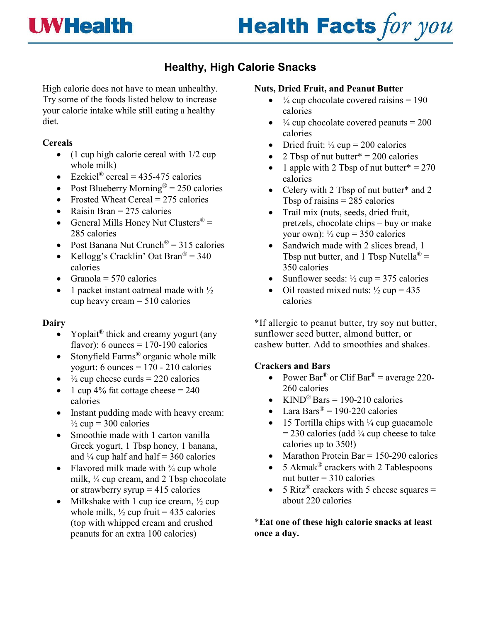## **UWHealth**

# **Health Facts for you**

### **Healthy, High Calorie Snacks**

High calorie does not have to mean unhealthy. Try some of the foods listed below to increase your calorie intake while still eating a healthy diet.

#### **Cereals**

- (1 cup high calorie cereal with 1/2 cup whole milk)
- Ezekiel<sup>®</sup> cereal = 435-475 calories
- Post Blueberry Morning<sup>®</sup> = 250 calories
- Frosted Wheat Cereal  $= 275$  calories
- Raisin Bran  $= 275$  calories
- General Mills Honey Nut Clusters<sup>®</sup> = 285 calories
- Post Banana Nut Crunch<sup>®</sup> =  $315$  calories
- Kellogg's Cracklin' Oat Bran<sup>®</sup> = 340 calories
- Granola =  $570$  calories
- 1 packet instant oatmeal made with ½ cup heavy cream = 510 calories

#### **Dairy**

- Yoplait<sup>®</sup> thick and creamy yogurt (any flavor): 6 ounces =  $170-190$  calories
- Stonyfield Farms® organic whole milk yogurt: 6 ounces  $= 170 - 210$  calories
- $\frac{1}{2}$  cup cheese curds = 220 calories
- 1 cup 4% fat cottage cheese  $= 240$ calories
- Instant pudding made with heavy cream:  $\frac{1}{2}$  cup = 300 calories
- Smoothie made with 1 carton vanilla Greek yogurt, 1 Tbsp honey, 1 banana, and  $\frac{1}{4}$  cup half and half = 360 calories
- Flavored milk made with  $\frac{3}{4}$  cup whole milk, ¼ cup cream, and 2 Tbsp chocolate or strawberry syrup  $= 415$  calories
- Milkshake with 1 cup ice cream,  $\frac{1}{2}$  cup whole milk,  $\frac{1}{2}$  cup fruit = 435 calories (top with whipped cream and crushed peanuts for an extra 100 calories)

#### **Nuts, Dried Fruit, and Peanut Butter**

- $\frac{1}{4}$  cup chocolate covered raisins = 190 calories
- $\frac{1}{4}$  cup chocolate covered peanuts = 200 calories
- Dried fruit:  $\frac{1}{2}$  cup = 200 calories
- 2 Tbsp of nut butter  $* = 200$  calories
- 1 apple with 2 Tbsp of nut butter  $* = 270$ calories
- Celery with 2 Tbsp of nut butter\* and 2 Tbsp of raisins  $= 285$  calories
- Trail mix (nuts, seeds, dried fruit, pretzels, chocolate chips – buy or make your own):  $\frac{1}{2}$  cup = 350 calories
- Sandwich made with 2 slices bread, 1 Tbsp nut butter, and 1 Tbsp Nutella<sup>®</sup> = 350 calories
- Sunflower seeds:  $\frac{1}{2}$  cup = 375 calories
- Oil roasted mixed nuts:  $\frac{1}{2}$  cup = 435 calories

\*If allergic to peanut butter, try soy nut butter, sunflower seed butter, almond butter, or cashew butter. Add to smoothies and shakes.

#### **Crackers and Bars**

- Power Bar<sup>®</sup> or Clif Bar<sup>®</sup> = average 220-260 calories
- KIND<sup>®</sup> Bars = 190-210 calories
- Lara Bars<sup>®</sup> = 190-220 calories
- 15 Tortilla chips with  $\frac{1}{4}$  cup guacamole  $= 230$  calories (add  $\frac{1}{4}$  cup cheese to take calories up to 350!)
- Marathon Protein Bar =  $150-290$  calories
- 5 Akmak<sup>®</sup> crackers with 2 Tablespoons nut butter  $= 310$  calories
- 5 Ritz<sup>®</sup> crackers with 5 cheese squares = about 220 calories

\***Eat one of these high calorie snacks at least once a day.**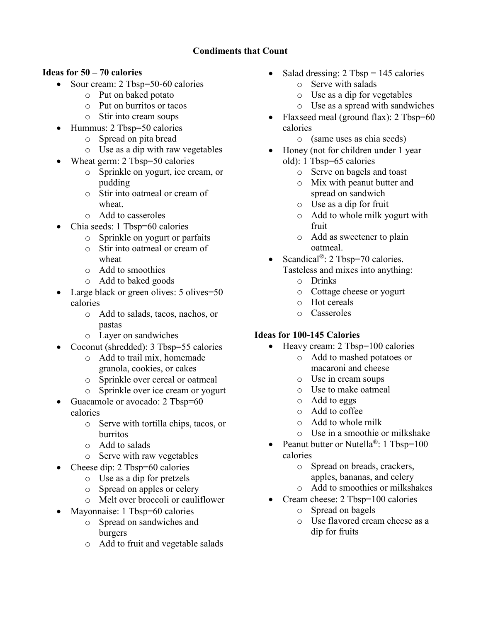#### **Condiments that Count**

#### **Ideas for 50 – 70 calories**

- Sour cream: 2 Tbsp=50-60 calories
	- o Put on baked potato
	- o Put on burritos or tacos
	- o Stir into cream soups
- Hummus: 2 Tbsp=50 calories
	- o Spread on pita bread
		- o Use as a dip with raw vegetables
- Wheat germ: 2 Tbsp=50 calories
	- o Sprinkle on yogurt, ice cream, or pudding
	- o Stir into oatmeal or cream of wheat.
	- o Add to casseroles
- Chia seeds: 1 Tbsp=60 calories
	- o Sprinkle on yogurt or parfaits
	- o Stir into oatmeal or cream of wheat
	- o Add to smoothies
	- o Add to baked goods
- Large black or green olives: 5 olives=50 calories
	- o Add to salads, tacos, nachos, or pastas
	- o Layer on sandwiches
- Coconut (shredded): 3 Tbsp=55 calories
	- o Add to trail mix, homemade granola, cookies, or cakes
	- o Sprinkle over cereal or oatmeal
	- o Sprinkle over ice cream or yogurt
- Guacamole or avocado: 2 Tbsp=60 calories
	- o Serve with tortilla chips, tacos, or burritos
	- o Add to salads
	- o Serve with raw vegetables
- Cheese dip: 2 Tbsp=60 calories
	- o Use as a dip for pretzels
	- o Spread on apples or celery
	- o Melt over broccoli or cauliflower
- Mayonnaise: 1 Tbsp=60 calories
	- o Spread on sandwiches and burgers
	- o Add to fruit and vegetable salads
- Salad dressing:  $2$  Tbsp = 145 calories
	- o Serve with salads
	- o Use as a dip for vegetables
	- o Use as a spread with sandwiches
- Flaxseed meal (ground flax): 2 Tbsp=60 calories
	- o (same uses as chia seeds)
- Honey (not for children under 1 year old): 1 Tbsp=65 calories
	- o Serve on bagels and toast
	- o Mix with peanut butter and spread on sandwich
	- o Use as a dip for fruit
	- o Add to whole milk yogurt with fruit
	- o Add as sweetener to plain oatmeal.
- Scandical<sup>®</sup>: 2 Tbsp=70 calories. Tasteless and mixes into anything:
	- o Drinks
	- o Cottage cheese or yogurt
	- o Hot cereals
	- o Casseroles

#### **Ideas for 100-145 Calories**

- Heavy cream: 2 Tbsp=100 calories
	- o Add to mashed potatoes or macaroni and cheese
	- o Use in cream soups
	- o Use to make oatmeal
	- o Add to eggs
	- o Add to coffee
	- o Add to whole milk
	- o Use in a smoothie or milkshake
- Peanut butter or Nutella<sup>®</sup>: 1 Tbsp=100 calories
	- o Spread on breads, crackers, apples, bananas, and celery
	- o Add to smoothies or milkshakes
- Cream cheese: 2 Tbsp=100 calories
	- o Spread on bagels
	- o Use flavored cream cheese as a dip for fruits